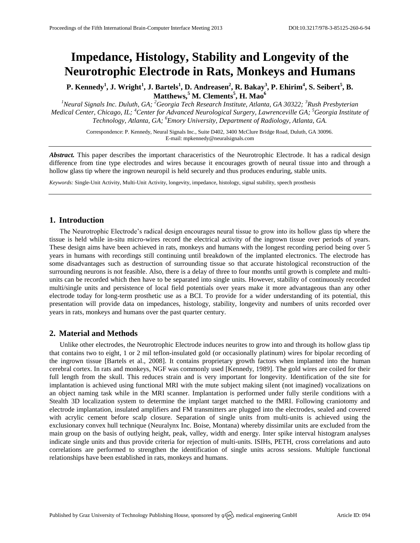# **Impedance, Histology, Stability and Longevity of the Neurotrophic Electrode in Rats, Monkeys and Humans**

P. Kennedy<sup>1</sup>, J. Wright<sup>1</sup>, J. Bartels<sup>1</sup>, D. Andreasen<sup>2</sup>, R. Bakay<sup>3</sup>, P. Ehirim<sup>4</sup>, S. Seibert<sup>5</sup>, B. **Matthews,<sup>5</sup> M. Clements<sup>5</sup> , H. Mao<sup>6</sup>**

*<sup>1</sup>Neural Signals Inc. Duluth, GA; <sup>2</sup>Georgia Tech Research Institute, Atlanta, GA 30322; <sup>3</sup>Rush Presbyterian Medical Center, Chicago, IL; <sup>4</sup>Center for Advanced Neurological Surgery, Lawrenceville GA; <sup>5</sup>Georgia Institute of Technology, Atlanta, GA; <sup>6</sup>Emory University, Department of Radiology, Atlanta, GA.*

> Correspondence: P. Kennedy, Neural Signals Inc., Suite D402, 3400 McClure Bridge Road, Duluth, GA 30096. E-mail[: mpkennedy@neuralsignals.com](mailto:mpkennedy@neuralsignals.com)

*Abstract.* This paper describes the important characeristics of the Neurotrophic Electrode. It has a radical design difference from tine type electrodes and wires because it encourages growth of neural tissue into and through a hollow glass tip where the ingrown neuropil is held securely and thus produces enduring, stable units.

*Keywords:* Single-Unit Activity, Multi-Unit Activity, longevity, impedance, histology, signal stability, speech prosthesis

# **1. Introduction**

The Neurotrophic Electrode's radical design encourages neural tissue to grow into its hollow glass tip where the tissue is held while in-situ micro-wires record the electrical activity of the ingrown tissue over periods of years. These design aims have been achieved in rats, monkeys and humans with the longest recording period being over 5 years in humans with recordings still continuing until breakdown of the implanted electronics. The electrode has some disadvantages such as destruction of surrounding tissue so that accurate histological reconstruction of the surrounding neurons is not feasible. Also, there is a delay of three to four months until growth is complete and multiunits can be recorded which then have to be separated into single units. However, stability of continuously recorded multi/single units and persistence of local field potentials over years make it more advantageous than any other electrode today for long-term prosthetic use as a BCI. To provide for a wider understanding of its potential, this presentation will provide data on impedances, histology, stability, longevity and numbers of units recorded over years in rats, monkeys and humans over the past quarter century.

# **2. Material and Methods**

Unlike other electrodes, the Neurotrophic Electrode induces neurites to grow into and through its hollow glass tip that contains two to eight, 1 or 2 mil teflon-insulated gold (or occasionally platinum) wires for bipolar recording of the ingrown tissue [Bartels et al., 2008]. It contains proprietary growth factors when implanted into the human cerebral cortex. In rats and monkeys, NGF was commonly used [Kennedy, 1989]. The gold wires are coiled for their full length from the skull. This reduces strain and is very important for longevity. Identification of the site for implantation is achieved using functional MRI with the mute subject making silent (not imagined) vocalizations on an object naming task while in the MRI scanner. Implantation is performed under fully sterile conditions with a Stealth 3D localization system to determine the implant target matched to the fMRI. Following craniotomy and electrode implantation, insulated amplifiers and FM transmitters are plugged into the electrodes, sealed and covered with acrylic cement before scalp closure. Separation of single units from multi-units is achieved using the exclusionary convex hull technique (Neuralynx Inc. Boise, Montana) whereby dissimilar units are excluded from the main group on the basis of outlying height, peak, valley, width and energy. Inter spike interval histogram analyses indicate single units and thus provide criteria for rejection of multi-units. ISIHs, PETH, cross correlations and auto correlations are performed to strengthen the identification of single units across sessions. Multiple functional relationships have been established in rats, monkeys and humans.